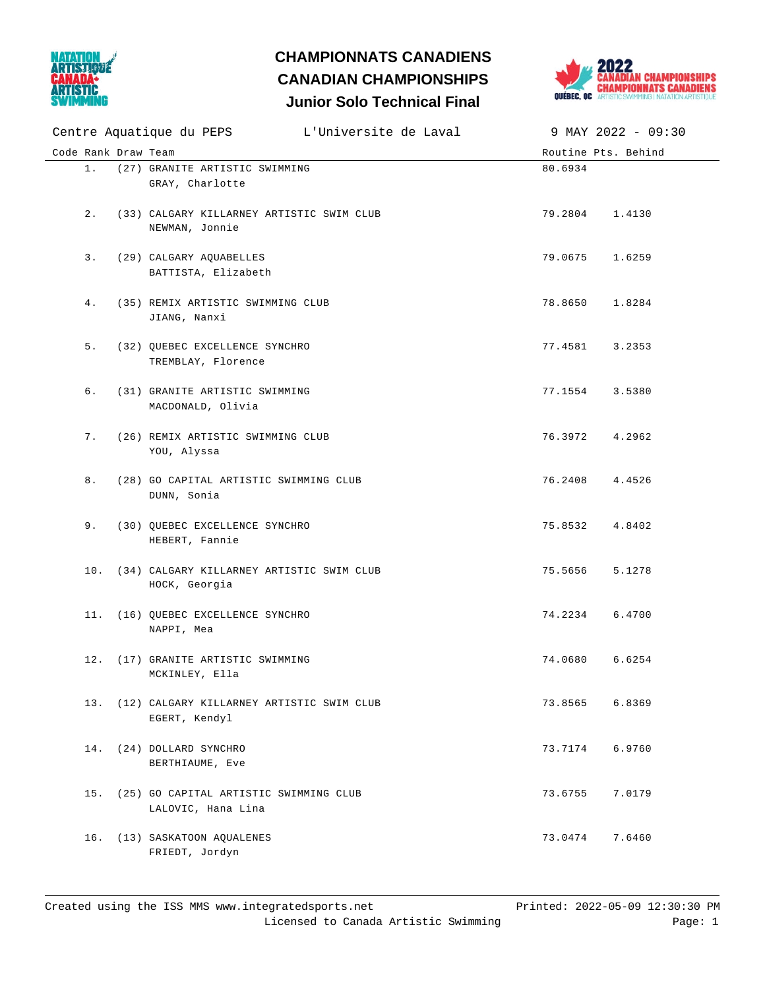

## **Junior Solo Technical Final CHAMPIONNATS CANADIENS CANADIAN CHAMPIONSHIPS**



|                     | Centre Aquatique du PEPS L'Universite de Laval                   | $9$ MAY 2022 - 09:30 |
|---------------------|------------------------------------------------------------------|----------------------|
| Code Rank Draw Team |                                                                  | Routine Pts. Behind  |
| $1$ .               | (27) GRANITE ARTISTIC SWIMMING<br>GRAY, Charlotte                | 80.6934              |
| 2.                  | (33) CALGARY KILLARNEY ARTISTIC SWIM CLUB<br>NEWMAN, Jonnie      | 79.2804<br>1.4130    |
| 3.                  | (29) CALGARY AQUABELLES<br>BATTISTA, Elizabeth                   | 79.0675<br>1.6259    |
| 4.                  | (35) REMIX ARTISTIC SWIMMING CLUB<br>JIANG, Nanxi                | 78.8650<br>1.8284    |
| 5.                  | (32) QUEBEC EXCELLENCE SYNCHRO<br>TREMBLAY, Florence             | 77.4581<br>3.2353    |
| б.                  | (31) GRANITE ARTISTIC SWIMMING<br>MACDONALD, Olivia              | 77.1554 3.5380       |
| 7.                  | (26) REMIX ARTISTIC SWIMMING CLUB<br>YOU, Alyssa                 | 76.3972<br>4.2962    |
| 8.                  | (28) GO CAPITAL ARTISTIC SWIMMING CLUB<br>DUNN, Sonia            | 76.2408<br>4.4526    |
| 9.                  | (30) QUEBEC EXCELLENCE SYNCHRO<br>HEBERT, Fannie                 | 75.8532<br>4.8402    |
|                     | 10. (34) CALGARY KILLARNEY ARTISTIC SWIM CLUB<br>HOCK, Georgia   | 75.5656<br>5.1278    |
|                     | 11. (16) QUEBEC EXCELLENCE SYNCHRO<br>NAPPI, Mea                 | 74.2234 6.4700       |
|                     | 12. (17) GRANITE ARTISTIC SWIMMING<br>MCKINLEY, Ella             | 6.6254<br>74.0680    |
|                     | 13. (12) CALGARY KILLARNEY ARTISTIC SWIM CLUB<br>EGERT, Kendyl   | 73.8565 6.8369       |
|                     | 14. (24) DOLLARD SYNCHRO<br>BERTHIAUME, Eve                      | 73.7174 6.9760       |
|                     | 15. (25) GO CAPITAL ARTISTIC SWIMMING CLUB<br>LALOVIC, Hana Lina | 73.6755<br>7.0179    |
|                     | 16. (13) SASKATOON AQUALENES<br>FRIEDT, Jordyn                   | 73.0474<br>7.6460    |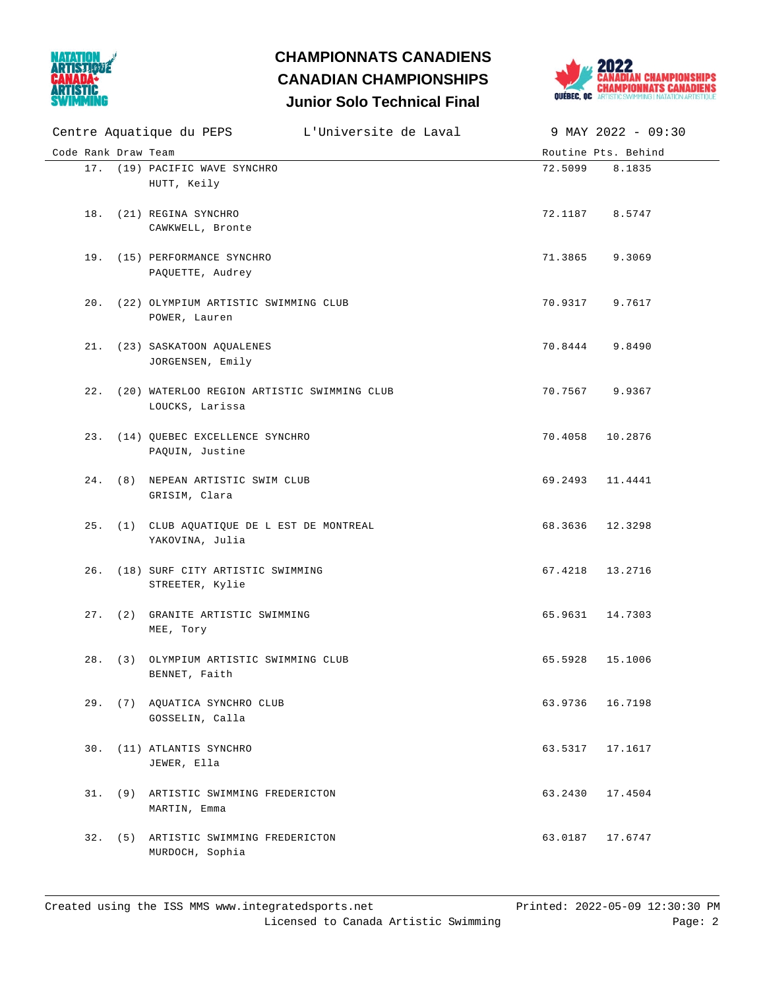

## **Junior Solo Technical Final CHAMPIONNATS CANADIENS CANADIAN CHAMPIONSHIPS**



|                     | Centre Aquatique du PEPS [1] L'Universite de Laval                 |                 | 9 MAY 2022 - 09:30  |
|---------------------|--------------------------------------------------------------------|-----------------|---------------------|
| Code Rank Draw Team |                                                                    |                 | Routine Pts. Behind |
|                     | 17. (19) PACIFIC WAVE SYNCHRO<br>HUTT, Keily                       | 72.5099         | 8.1835              |
|                     | 18. (21) REGINA SYNCHRO<br>CAWKWELL, Bronte                        | 72.1187 8.5747  |                     |
|                     | 19. (15) PERFORMANCE SYNCHRO<br>PAQUETTE, Audrey                   | 71.3865 9.3069  |                     |
|                     | 20. (22) OLYMPIUM ARTISTIC SWIMMING CLUB<br>POWER, Lauren          | 70.9317 9.7617  |                     |
|                     | 21. (23) SASKATOON AQUALENES<br>JORGENSEN, Emily                   | 70.8444 9.8490  |                     |
|                     | 22. (20) WATERLOO REGION ARTISTIC SWIMMING CLUB<br>LOUCKS, Larissa | 70.7567 9.9367  |                     |
|                     | 23. (14) QUEBEC EXCELLENCE SYNCHRO<br>PAQUIN, Justine              | 70.4058 10.2876 |                     |
|                     | 24. (8) NEPEAN ARTISTIC SWIM CLUB<br>GRISIM, Clara                 | 69.2493 11.4441 |                     |
|                     | 25. (1) CLUB AQUATIQUE DE L EST DE MONTREAL<br>YAKOVINA, Julia     | 68.3636 12.3298 |                     |
|                     | 26. (18) SURF CITY ARTISTIC SWIMMING<br>STREETER, Kylie            | 67.4218 13.2716 |                     |
|                     | 27. (2) GRANITE ARTISTIC SWIMMING<br>MEE, Tory                     | 65.9631 14.7303 |                     |
|                     | 28. (3) OLYMPIUM ARTISTIC SWIMMING CLUB<br>BENNET, Faith           | 65.5928         | 15.1006             |
|                     | 29. (7) AQUATICA SYNCHRO CLUB<br>GOSSELIN, Calla                   | 63.9736 16.7198 |                     |
|                     | 30. (11) ATLANTIS SYNCHRO<br>JEWER, Ella                           | 63.5317 17.1617 |                     |
|                     | 31. (9) ARTISTIC SWIMMING FREDERICTON<br>MARTIN, Emma              | 63.2430 17.4504 |                     |
|                     | 32. (5) ARTISTIC SWIMMING FREDERICTON<br>MURDOCH, Sophia           | 63.0187 17.6747 |                     |